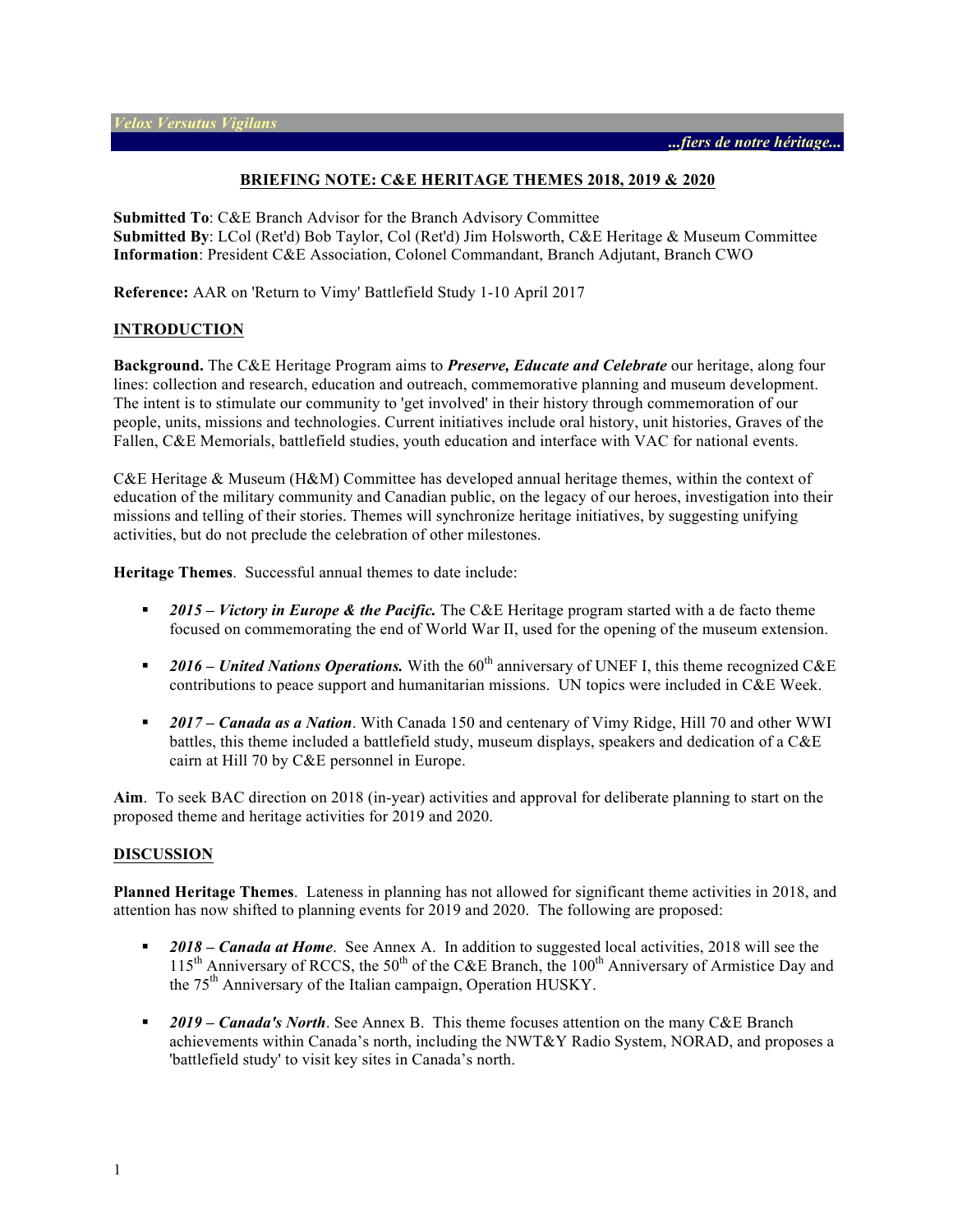#### **BRIEFING NOTE: C&E HERITAGE THEMES 2018, 2019 & 2020**

**Submitted To**: C&E Branch Advisor for the Branch Advisory Committee **Submitted By**: LCol (Ret'd) Bob Taylor, Col (Ret'd) Jim Holsworth, C&E Heritage & Museum Committee **Information**: President C&E Association, Colonel Commandant, Branch Adjutant, Branch CWO

**Reference:** AAR on 'Return to Vimy' Battlefield Study 1-10 April 2017

#### **INTRODUCTION**

**Background.** The C&E Heritage Program aims to *Preserve, Educate and Celebrate* our heritage, along four lines: collection and research, education and outreach, commemorative planning and museum development. The intent is to stimulate our community to 'get involved' in their history through commemoration of our people, units, missions and technologies. Current initiatives include oral history, unit histories, Graves of the Fallen, C&E Memorials, battlefield studies, youth education and interface with VAC for national events.

C&E Heritage & Museum (H&M) Committee has developed annual heritage themes, within the context of education of the military community and Canadian public, on the legacy of our heroes, investigation into their missions and telling of their stories. Themes will synchronize heritage initiatives, by suggesting unifying activities, but do not preclude the celebration of other milestones.

**Heritage Themes**. Successful annual themes to date include:

- § *2015 – Victory in Europe & the Pacific.* The C&E Heritage program started with a de facto theme focused on commemorating the end of World War II, used for the opening of the museum extension.
- *2016 United Nations Operations*. With the 60<sup>th</sup> anniversary of UNEF I, this theme recognized C&E contributions to peace support and humanitarian missions. UN topics were included in C&E Week.
- § *2017 – Canada as a Nation*. With Canada 150 and centenary of Vimy Ridge, Hill 70 and other WWI battles, this theme included a battlefield study, museum displays, speakers and dedication of a C&E cairn at Hill 70 by C&E personnel in Europe.

**Aim**. To seek BAC direction on 2018 (in-year) activities and approval for deliberate planning to start on the proposed theme and heritage activities for 2019 and 2020.

#### **DISCUSSION**

**Planned Heritage Themes**. Lateness in planning has not allowed for significant theme activities in 2018, and attention has now shifted to planning events for 2019 and 2020. The following are proposed:

- § *2018 – Canada at Home*. See Annex A. In addition to suggested local activities, 2018 will see the 115<sup>th</sup> Anniversary of RCCS, the 50<sup>th</sup> of the C&E Branch, the 100<sup>th</sup> Anniversary of Armistice Day and the 75<sup>th</sup> Anniversary of the Italian campaign, Operation HUSKY.
- § *2019 – Canada's North*. See Annex B. This theme focuses attention on the many C&E Branch achievements within Canada's north, including the NWT&Y Radio System, NORAD, and proposes a 'battlefield study' to visit key sites in Canada's north.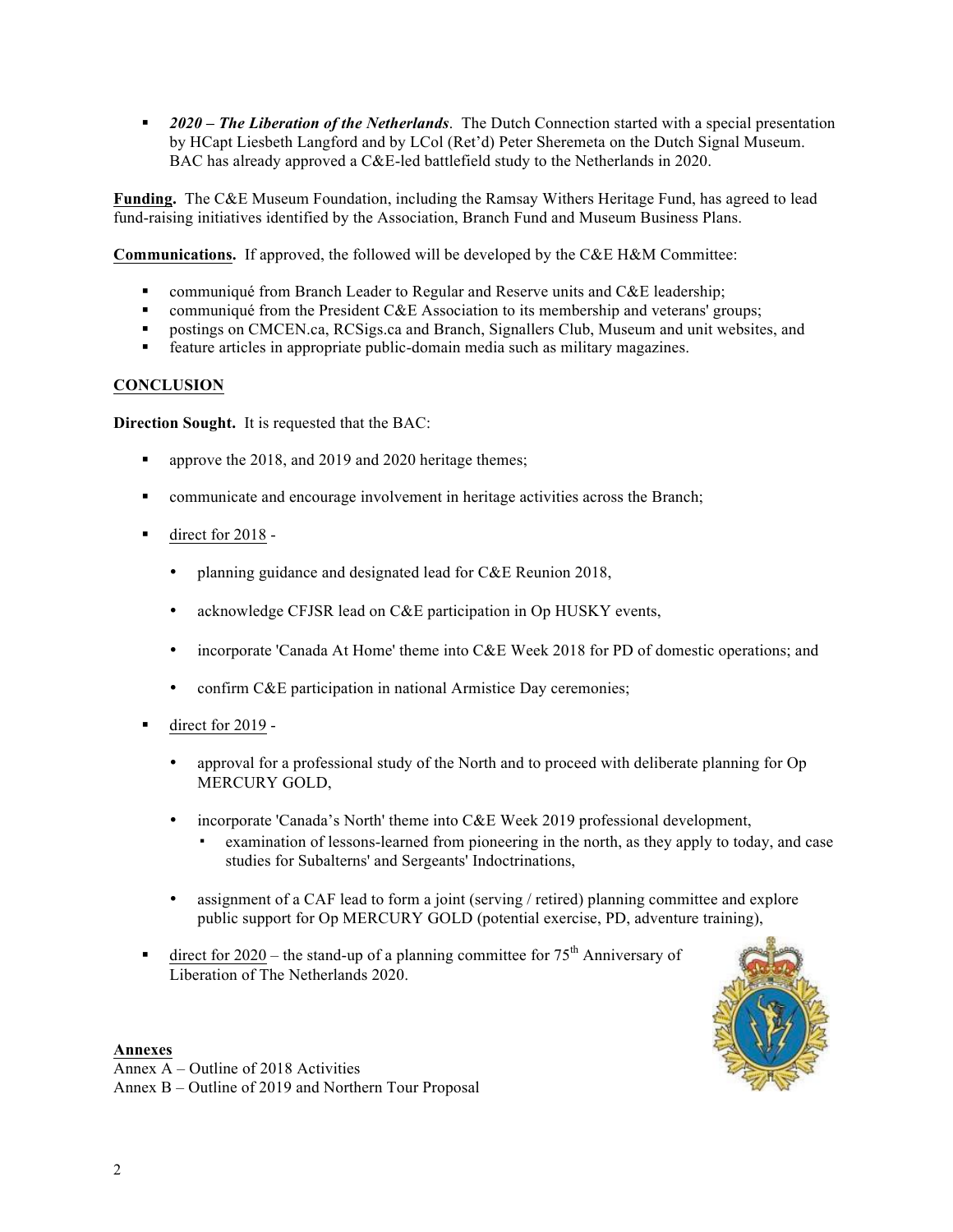§ *2020 – The Liberation of the Netherlands*. The Dutch Connection started with a special presentation by HCapt Liesbeth Langford and by LCol (Ret'd) Peter Sheremeta on the Dutch Signal Museum. BAC has already approved a C&E-led battlefield study to the Netherlands in 2020.

**Funding.** The C&E Museum Foundation, including the Ramsay Withers Heritage Fund, has agreed to lead fund-raising initiatives identified by the Association, Branch Fund and Museum Business Plans.

**Communications.** If approved, the followed will be developed by the C&E H&M Committee:

- communiqué from Branch Leader to Regular and Reserve units and  $CAE$  leadership;
- communiqué from the President C&E Association to its membership and veterans' groups;
- § postings on CMCEN.ca, RCSigs.ca and Branch, Signallers Club, Museum and unit websites, and
- feature articles in appropriate public-domain media such as military magazines.

# **CONCLUSION**

**Direction Sought.** It is requested that the BAC:

- § approve the 2018, and 2019 and 2020 heritage themes;
- communicate and encourage involvement in heritage activities across the Branch;
- direct for 2018 -
	- planning guidance and designated lead for C&E Reunion 2018,
	- acknowledge CFJSR lead on C&E participation in Op HUSKY events,
	- incorporate 'Canada At Home' theme into C&E Week 2018 for PD of domestic operations; and
	- confirm C&E participation in national Armistice Day ceremonies;
- direct for 2019 -
	- approval for a professional study of the North and to proceed with deliberate planning for Op MERCURY GOLD,
	- incorporate 'Canada's North' theme into C&E Week 2019 professional development,
		- examination of lessons-learned from pioneering in the north, as they apply to today, and case studies for Subalterns' and Sergeants' Indoctrinations,
	- assignment of a CAF lead to form a joint (serving / retired) planning committee and explore public support for Op MERCURY GOLD (potential exercise, PD, adventure training),
- **•** direct for 2020 the stand-up of a planning committee for  $75<sup>th</sup>$  Anniversary of Liberation of The Netherlands 2020.



**Annexes** Annex A – Outline of 2018 Activities Annex B – Outline of 2019 and Northern Tour Proposal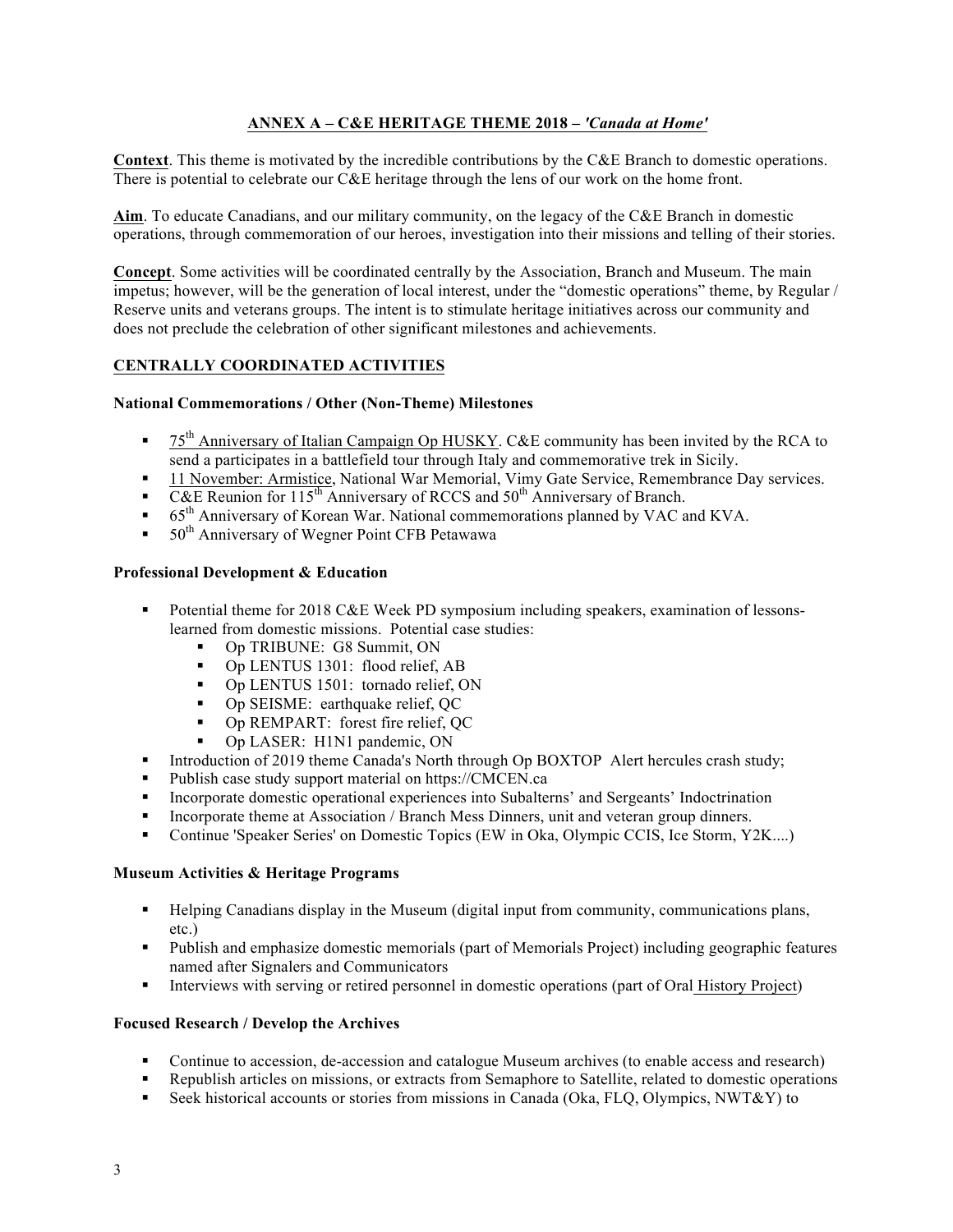# **ANNEX A – C&E HERITAGE THEME 2018 –** *'Canada at Home'*

**Context**. This theme is motivated by the incredible contributions by the C&E Branch to domestic operations. There is potential to celebrate our C&E heritage through the lens of our work on the home front.

**Aim**. To educate Canadians, and our military community, on the legacy of the C&E Branch in domestic operations, through commemoration of our heroes, investigation into their missions and telling of their stories.

**Concept**. Some activities will be coordinated centrally by the Association, Branch and Museum. The main impetus; however, will be the generation of local interest, under the "domestic operations" theme, by Regular / Reserve units and veterans groups. The intent is to stimulate heritage initiatives across our community and does not preclude the celebration of other significant milestones and achievements.

### **CENTRALLY COORDINATED ACTIVITIES**

#### **National Commemorations / Other (Non-Theme) Milestones**

- $\bullet$  75<sup>th</sup> Anniversary of Italian Campaign Op HUSKY. C&E community has been invited by the RCA to send a participates in a battlefield tour through Italy and commemorative trek in Sicily.
- 11 November: Armistice, National War Memorial, Vimy Gate Service, Remembrance Day services.
- C&E Reunion for 115<sup>th</sup> Anniversary of RCCS and 50<sup>th</sup> Anniversary of Branch.
- 65<sup>th</sup> Anniversary of Korean War. National commemorations planned by VAC and KVA.
- 50<sup>th</sup> Anniversary of Wegner Point CFB Petawawa

#### **Professional Development & Education**

- Potential theme for 2018 C&E Week PD symposium including speakers, examination of lessonslearned from domestic missions. Potential case studies:
	- Op TRIBUNE: G8 Summit, ON
	- Op LENTUS 1301: flood relief, AB
	- Op LENTUS 1501: tornado relief, ON
	- Op SEISME: earthquake relief, QC
	- Op REMPART: forest fire relief, QC
	- Op LASER: H1N1 pandemic, ON
- Introduction of 2019 theme Canada's North through Op BOXTOP Alert hercules crash study;
- § Publish case study support material on https://CMCEN.ca
- Incorporate domestic operational experiences into Subalterns' and Sergeants' Indoctrination
- Incorporate theme at Association / Branch Mess Dinners, unit and veteran group dinners.
- Continue 'Speaker Series' on Domestic Topics (EW in Oka, Olympic CCIS, Ice Storm, Y2K....)

#### **Museum Activities & Heritage Programs**

- Helping Canadians display in the Museum (digital input from community, communications plans, etc.)
- Publish and emphasize domestic memorials (part of Memorials Project) including geographic features named after Signalers and Communicators
- Interviews with serving or retired personnel in domestic operations (part of Oral History Project)

#### **Focused Research / Develop the Archives**

- Continue to accession, de-accession and catalogue Museum archives (to enable access and research)
- § Republish articles on missions, or extracts from Semaphore to Satellite, related to domestic operations
- Seek historical accounts or stories from missions in Canada (Oka, FLQ, Olympics, NWT&Y) to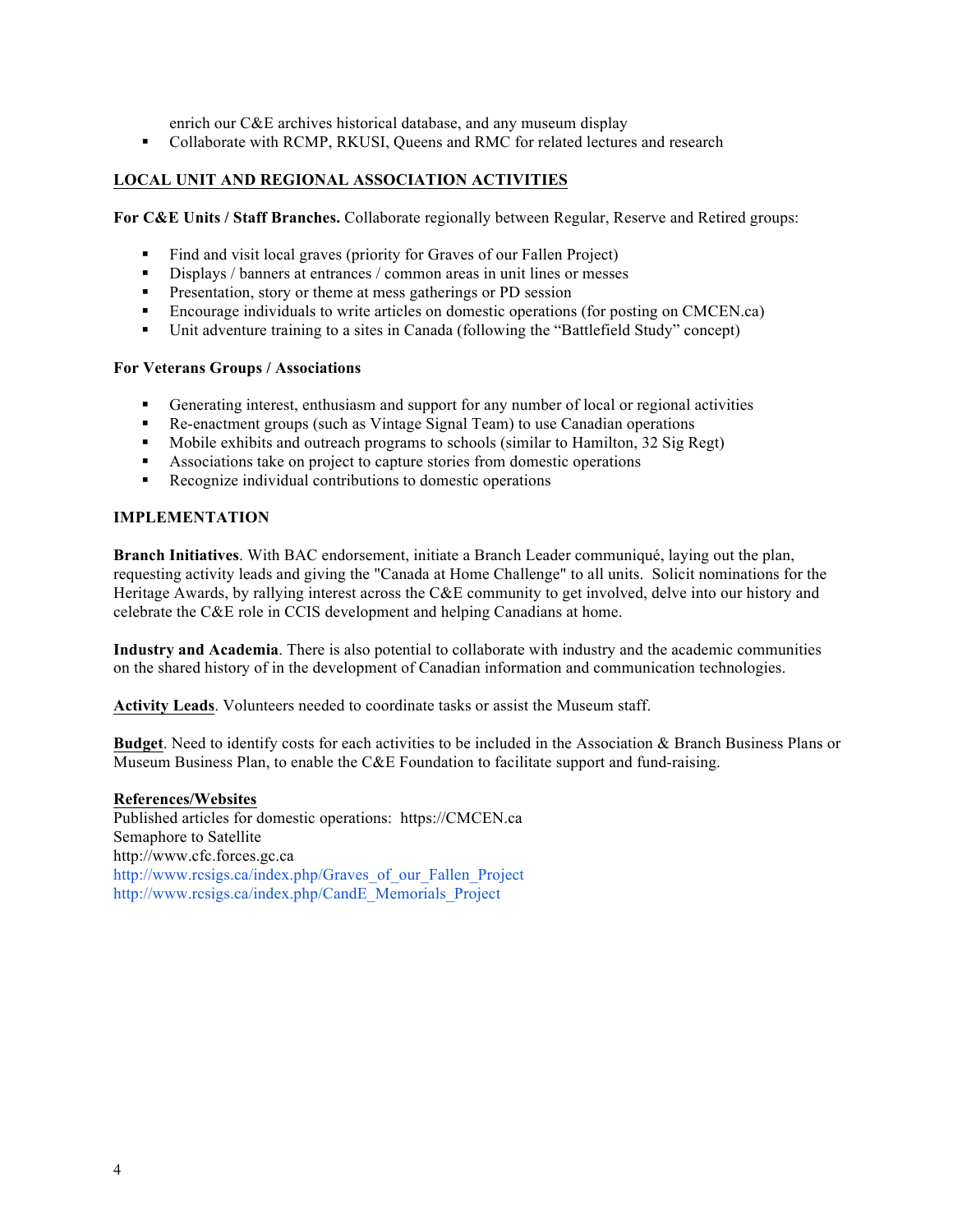enrich our C&E archives historical database, and any museum display

§ Collaborate with RCMP, RKUSI, Queens and RMC for related lectures and research

# **LOCAL UNIT AND REGIONAL ASSOCIATION ACTIVITIES**

**For C&E Units / Staff Branches.** Collaborate regionally between Regular, Reserve and Retired groups:

- Find and visit local graves (priority for Graves of our Fallen Project)
- Displays / banners at entrances / common areas in unit lines or messes
- **•** Presentation, story or theme at mess gatherings or PD session
- Encourage individuals to write articles on domestic operations (for posting on CMCEN.ca)
- § Unit adventure training to a sites in Canada (following the "Battlefield Study" concept)

#### **For Veterans Groups / Associations**

- § Generating interest, enthusiasm and support for any number of local or regional activities
- § Re-enactment groups (such as Vintage Signal Team) to use Canadian operations
- § Mobile exhibits and outreach programs to schools (similar to Hamilton, 32 Sig Regt)
- Associations take on project to capture stories from domestic operations
- Recognize individual contributions to domestic operations

### **IMPLEMENTATION**

**Branch Initiatives**. With BAC endorsement, initiate a Branch Leader communiqué, laying out the plan, requesting activity leads and giving the "Canada at Home Challenge" to all units. Solicit nominations for the Heritage Awards, by rallying interest across the C&E community to get involved, delve into our history and celebrate the C&E role in CCIS development and helping Canadians at home.

**Industry and Academia**. There is also potential to collaborate with industry and the academic communities on the shared history of in the development of Canadian information and communication technologies.

**Activity Leads**. Volunteers needed to coordinate tasks or assist the Museum staff.

**Budget**. Need to identify costs for each activities to be included in the Association & Branch Business Plans or Museum Business Plan, to enable the C&E Foundation to facilitate support and fund-raising.

#### **References/Websites**

Published articles for domestic operations: https://CMCEN.ca Semaphore to Satellite http://www.cfc.forces.gc.ca http://www.rcsigs.ca/index.php/Graves\_of\_our\_Fallen\_Project http://www.rcsigs.ca/index.php/CandE\_Memorials\_Project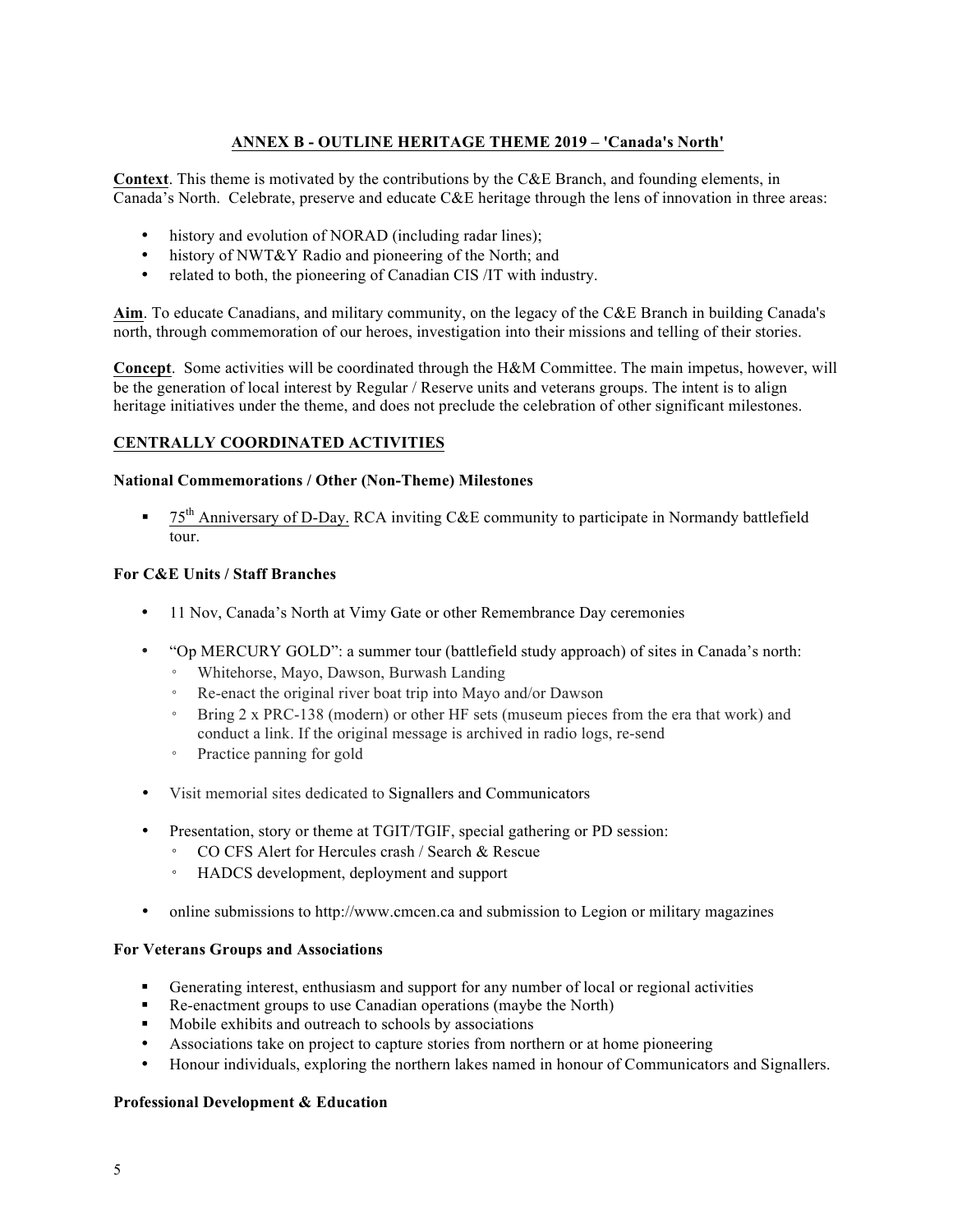# **ANNEX B - OUTLINE HERITAGE THEME 2019 – 'Canada's North'**

**Context**. This theme is motivated by the contributions by the C&E Branch, and founding elements, in Canada's North. Celebrate, preserve and educate C&E heritage through the lens of innovation in three areas:

- history and evolution of NORAD (including radar lines);
- history of NWT&Y Radio and pioneering of the North; and
- related to both, the pioneering of Canadian CIS /IT with industry.

**Aim**. To educate Canadians, and military community, on the legacy of the C&E Branch in building Canada's north, through commemoration of our heroes, investigation into their missions and telling of their stories.

**Concept**. Some activities will be coordinated through the H&M Committee. The main impetus, however, will be the generation of local interest by Regular / Reserve units and veterans groups. The intent is to align heritage initiatives under the theme, and does not preclude the celebration of other significant milestones.

### **CENTRALLY COORDINATED ACTIVITIES**

### **National Commemorations / Other (Non-Theme) Milestones**

**•**  $75<sup>th</sup>$  Anniversary of D-Day. RCA inviting C&E community to participate in Normandy battlefield tour.

### **For C&E Units / Staff Branches**

- 11 Nov, Canada's North at Vimy Gate or other Remembrance Day ceremonies
- "Op MERCURY GOLD": a summer tour (battlefield study approach) of sites in Canada's north:
	- Whitehorse, Mayo, Dawson, Burwash Landing
	- Re-enact the original river boat trip into Mayo and/or Dawson
	- Bring 2 x PRC-138 (modern) or other HF sets (museum pieces from the era that work) and conduct a link. If the original message is archived in radio logs, re-send
	- Practice panning for gold
- Visit memorial sites dedicated to Signallers and Communicators
- Presentation, story or theme at TGIT/TGIF, special gathering or PD session:
	- CO CFS Alert for Hercules crash / Search & Rescue
	- HADCS development, deployment and support
- online submissions to http://www.cmcen.ca and submission to Legion or military magazines

#### **For Veterans Groups and Associations**

- § Generating interest, enthusiasm and support for any number of local or regional activities
- Re-enactment groups to use Canadian operations (maybe the North)
- Mobile exhibits and outreach to schools by associations
- Associations take on project to capture stories from northern or at home pioneering
- Honour individuals, exploring the northern lakes named in honour of Communicators and Signallers.

#### **Professional Development & Education**